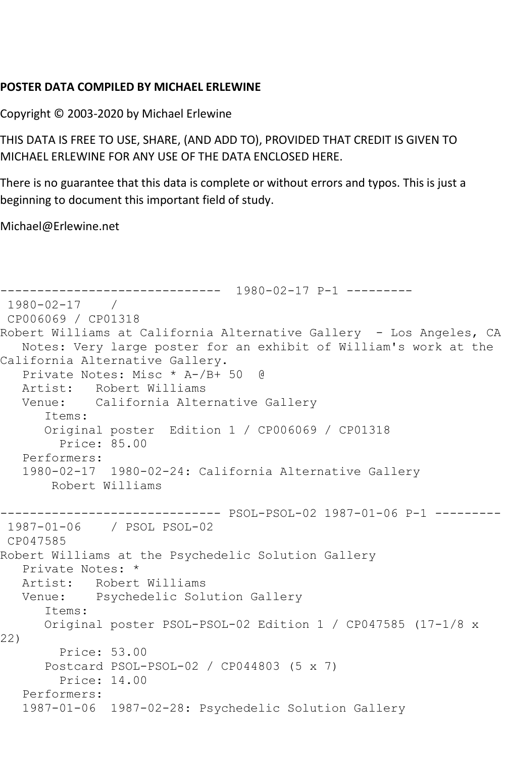## **POSTER DATA COMPILED BY MICHAEL ERLEWINE**

Copyright © 2003-2020 by Michael Erlewine

THIS DATA IS FREE TO USE, SHARE, (AND ADD TO), PROVIDED THAT CREDIT IS GIVEN TO MICHAEL ERLEWINE FOR ANY USE OF THE DATA ENCLOSED HERE.

There is no guarantee that this data is complete or without errors and typos. This is just a beginning to document this important field of study.

Michael@Erlewine.net

```
------------------------------ 1980-02-17 P-1 ---------
1980-02-17 / 
CP006069 / CP01318
Robert Williams at California Alternative Gallery - Los Angeles, CA
   Notes: Very large poster for an exhibit of William's work at the 
California Alternative Gallery.
   Private Notes: Misc * A-/B+ 50 @
   Artist: Robert Williams
   Venue: California Alternative Gallery
       Items:
      Original poster Edition 1 / CP006069 / CP01318
        Price: 85.00
   Performers:
   1980-02-17 1980-02-24: California Alternative Gallery
       Robert Williams
------------------------------ PSOL-PSOL-02 1987-01-06 P-1 ---------
1987-01-06 / PSOL PSOL-02
CP047585
Robert Williams at the Psychedelic Solution Gallery
   Private Notes: *
   Artist: Robert Williams
   Venue: Psychedelic Solution Gallery
      Items:
      Original poster PSOL-PSOL-02 Edition 1 / CP047585 (17-1/8 x 
22)
        Price: 53.00
      Postcard PSOL-PSOL-02 / CP044803 (5 x 7)
        Price: 14.00
   Performers:
   1987-01-06 1987-02-28: Psychedelic Solution Gallery
```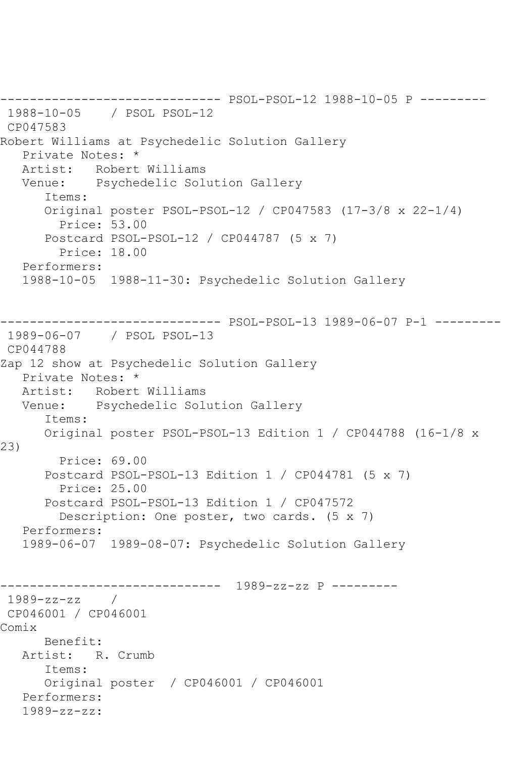------------------------------ PSOL-PSOL-12 1988-10-05 P --------- 1988-10-05 / PSOL PSOL-12 CP047583 Robert Williams at Psychedelic Solution Gallery Private Notes: \* Artist: Robert Williams Venue: Psychedelic Solution Gallery Items: Original poster PSOL-PSOL-12 / CP047583 (17-3/8 x 22-1/4) Price: 53.00 Postcard PSOL-PSOL-12 / CP044787 (5 x 7) Price: 18.00 Performers: 1988-10-05 1988-11-30: Psychedelic Solution Gallery ------------------------------ PSOL-PSOL-13 1989-06-07 P-1 --------- 1989-06-07 / PSOL PSOL-13 CP044788 Zap 12 show at Psychedelic Solution Gallery Private Notes: \* Artist: Robert Williams Venue: Psychedelic Solution Gallery Items: Original poster PSOL-PSOL-13 Edition 1 / CP044788 (16-1/8 x 23) Price: 69.00 Postcard PSOL-PSOL-13 Edition 1 / CP044781 (5 x 7) Price: 25.00 Postcard PSOL-PSOL-13 Edition 1 / CP047572 Description: One poster, two cards. (5 x 7) Performers: 1989-06-07 1989-08-07: Psychedelic Solution Gallery ------------------------------ 1989-zz-zz P --------- 1989-zz-zz / CP046001 / CP046001 Comix Benefit: Artist: R. Crumb Items: Original poster / CP046001 / CP046001 Performers: 1989-zz-zz: